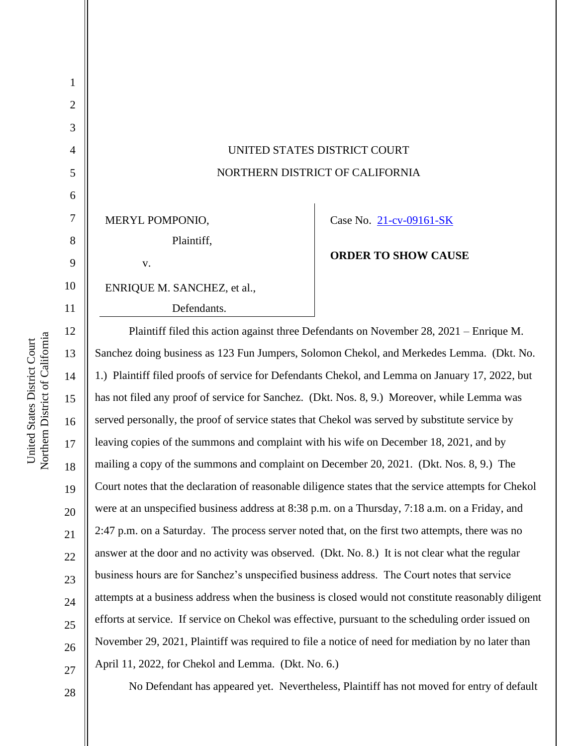| $\mathbf{1}$   |                                                                                                      |                            |
|----------------|------------------------------------------------------------------------------------------------------|----------------------------|
| $\overline{2}$ |                                                                                                      |                            |
| 3              |                                                                                                      |                            |
| $\overline{4}$ | UNITED STATES DISTRICT COURT                                                                         |                            |
| 5              | NORTHERN DISTRICT OF CALIFORNIA                                                                      |                            |
| 6              |                                                                                                      |                            |
| 7              | MERYL POMPONIO,                                                                                      | Case No. 21-cv-09161-SK    |
| 8              | Plaintiff,                                                                                           | <b>ORDER TO SHOW CAUSE</b> |
| 9              | V.                                                                                                   |                            |
| 10             | ENRIQUE M. SANCHEZ, et al.,                                                                          |                            |
| 11             | Defendants.                                                                                          |                            |
| 12             | Plaintiff filed this action against three Defendants on November 28, 2021 – Enrique M.               |                            |
| 13             | Sanchez doing business as 123 Fun Jumpers, Solomon Chekol, and Merkedes Lemma. (Dkt. No.             |                            |
| 14             | 1.) Plaintiff filed proofs of service for Defendants Chekol, and Lemma on January 17, 2022, but      |                            |
| 15             | has not filed any proof of service for Sanchez. (Dkt. Nos. 8, 9.) Moreover, while Lemma was          |                            |
| 16             | served personally, the proof of service states that Chekol was served by substitute service by       |                            |
| 17             | leaving copies of the summons and complaint with his wife on December 18, 2021, and by               |                            |
| 18             | mailing a copy of the summons and complaint on December 20, 2021. (Dkt. Nos. 8, 9.) The              |                            |
| 19             | Court notes that the declaration of reasonable diligence states that the service attempts for Chekol |                            |
| 20             | were at an unspecified business address at 8:38 p.m. on a Thursday, 7:18 a.m. on a Friday, and       |                            |
| 21             | 2:47 p.m. on a Saturday. The process server noted that, on the first two attempts, there was no      |                            |
| 22             | answer at the door and no activity was observed. (Dkt. No. 8.) It is not clear what the regular      |                            |
| 23             | business hours are for Sanchez's unspecified business address. The Court notes that service          |                            |
| 24             | attempts at a business address when the business is closed would not constitute reasonably diligent  |                            |
| 25             | efforts at service. If service on Chekol was effective, pursuant to the scheduling order issued on   |                            |
| 26             | November 29, 2021, Plaintiff was required to file a notice of need for mediation by no later than    |                            |
| 27             | April 11, 2022, for Chekol and Lemma. (Dkt. No. 6.)                                                  |                            |
|                |                                                                                                      |                            |

United States District Court<br>Northern District of California Northern District of California United States District Court

No Defendant has appeared yet. Nevertheless, Plaintiff has not moved for entry of default